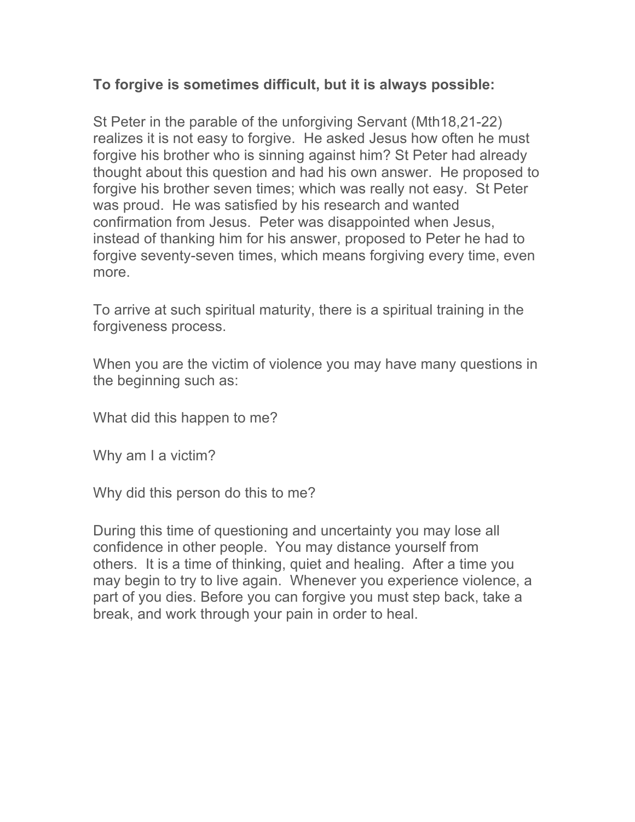## **To forgive is sometimes difficult, but it is always possible:**

St Peter in the parable of the unforgiving Servant (Mth18,21-22) realizes it is not easy to forgive. He asked Jesus how often he must forgive his brother who is sinning against him? St Peter had already thought about this question and had his own answer. He proposed to forgive his brother seven times; which was really not easy. St Peter was proud. He was satisfied by his research and wanted confirmation from Jesus. Peter was disappointed when Jesus, instead of thanking him for his answer, proposed to Peter he had to forgive seventy-seven times, which means forgiving every time, even more.

To arrive at such spiritual maturity, there is a spiritual training in the forgiveness process.

When you are the victim of violence you may have many questions in the beginning such as:

What did this happen to me?

Why am I a victim?

Why did this person do this to me?

During this time of questioning and uncertainty you may lose all confidence in other people. You may distance yourself from others. It is a time of thinking, quiet and healing. After a time you may begin to try to live again. Whenever you experience violence, a part of you dies. Before you can forgive you must step back, take a break, and work through your pain in order to heal.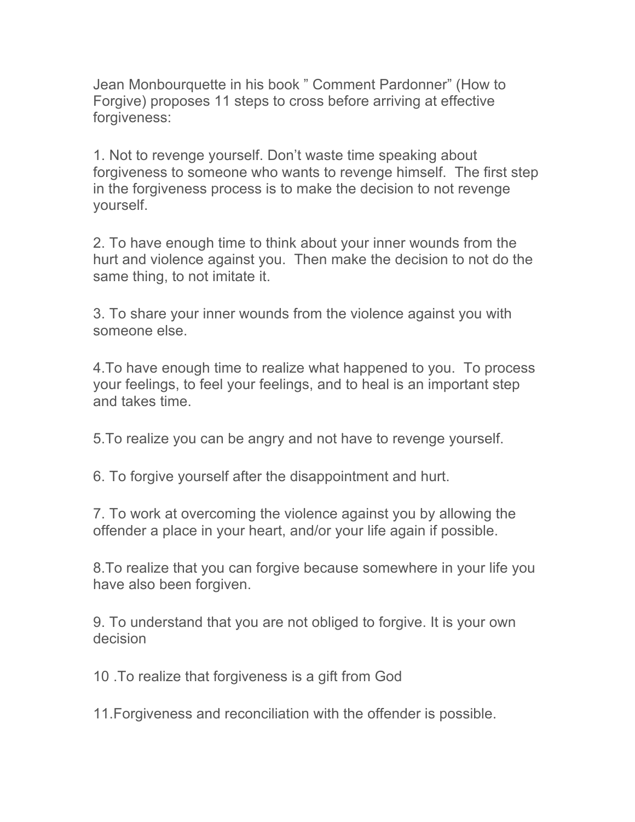Jean Monbourquette in his book " Comment Pardonner" (How to Forgive) proposes 11 steps to cross before arriving at effective forgiveness:

1. Not to revenge yourself. Don't waste time speaking about forgiveness to someone who wants to revenge himself. The first step in the forgiveness process is to make the decision to not revenge yourself.

2. To have enough time to think about your inner wounds from the hurt and violence against you. Then make the decision to not do the same thing, to not imitate it.

3. To share your inner wounds from the violence against you with someone else.

4.To have enough time to realize what happened to you. To process your feelings, to feel your feelings, and to heal is an important step and takes time.

5.To realize you can be angry and not have to revenge yourself.

6. To forgive yourself after the disappointment and hurt.

7. To work at overcoming the violence against you by allowing the offender a place in your heart, and/or your life again if possible.

8.To realize that you can forgive because somewhere in your life you have also been forgiven.

9. To understand that you are not obliged to forgive. It is your own decision

10 .To realize that forgiveness is a gift from God

11.Forgiveness and reconciliation with the offender is possible.